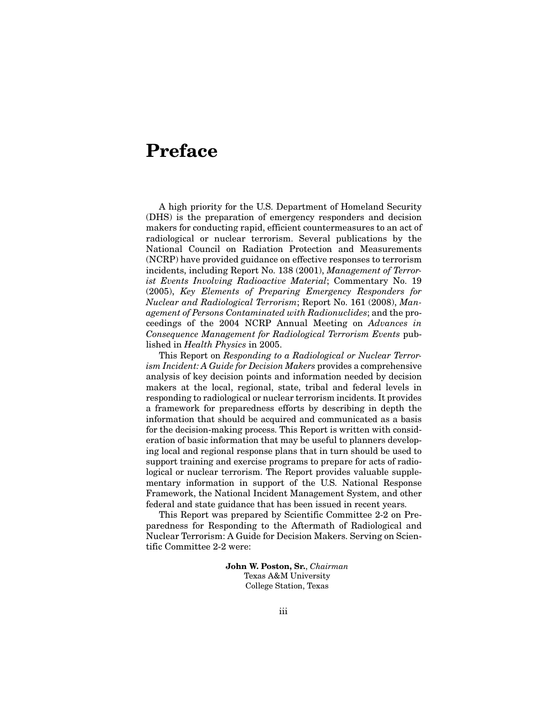# **Preface**

A high priority for the U.S. Department of Homeland Security (DHS) is the preparation of emergency responders and decision makers for conducting rapid, efficient countermeasures to an act of radiological or nuclear terrorism. Several publications by the National Council on Radiation Protection and Measurements (NCRP) have provided guidance on effective responses to terrorism incidents, including Report No. 138 (2001), *Management of Terrorist Events Involving Radioactive Material*; Commentary No. 19 (2005), *Key Elements of Preparing Emergency Responders for Nuclear and Radiological Terrorism*; Report No. 161 (2008), *Management of Persons Contaminated with Radionuclides*; and the proceedings of the 2004 NCRP Annual Meeting on *Advances in Consequence Management for Radiological Terrorism Events* published in *Health Physics* in 2005.

This Report on *Responding to a Radiological or Nuclear Terrorism Incident: A Guide for Decision Makers* provides a comprehensive analysis of key decision points and information needed by decision makers at the local, regional, state, tribal and federal levels in responding to radiological or nuclear terrorism incidents. It provides a framework for preparedness efforts by describing in depth the information that should be acquired and communicated as a basis for the decision-making process. This Report is written with consideration of basic information that may be useful to planners developing local and regional response plans that in turn should be used to support training and exercise programs to prepare for acts of radiological or nuclear terrorism. The Report provides valuable supplementary information in support of the U.S. National Response Framework, the National Incident Management System, and other federal and state guidance that has been issued in recent years.

This Report was prepared by Scientific Committee 2-2 on Preparedness for Responding to the Aftermath of Radiological and Nuclear Terrorism: A Guide for Decision Makers. Serving on Scientific Committee 2-2 were:

> **John W. Poston, Sr.**, *Chairman* Texas A&M University College Station, Texas